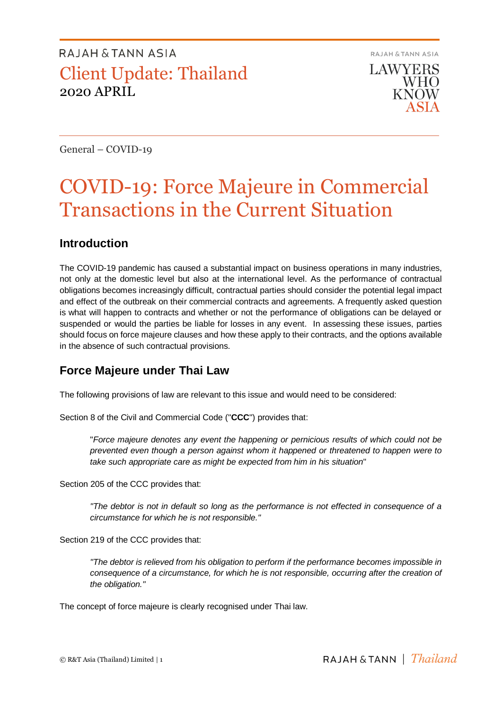RAJAH & TANN ASIA **LAWYERS WHO KNOW** 

General – COVID-19

# COVID-19: Force Majeure in Commercial Transactions in the Current Situation

### **Introduction**

The COVID-19 pandemic has caused a substantial impact on business operations in many industries, not only at the domestic level but also at the international level. As the performance of contractual obligations becomes increasingly difficult, contractual parties should consider the potential legal impact and effect of the outbreak on their commercial contracts and agreements. A frequently asked question is what will happen to contracts and whether or not the performance of obligations can be delayed or suspended or would the parties be liable for losses in any event. In assessing these issues, parties should focus on force majeure clauses and how these apply to their contracts, and the options available in the absence of such contractual provisions.

## **Force Majeure under Thai Law**

The following provisions of law are relevant to this issue and would need to be considered:

Section 8 of the Civil and Commercial Code ("**CCC**") provides that:

"*Force majeure denotes any event the happening or pernicious results of which could not be prevented even though a person against whom it happened or threatened to happen were to take such appropriate care as might be expected from him in his situation*"

Section 205 of the CCC provides that:

*"The debtor is not in default so long as the performance is not effected in consequence of a circumstance for which he is not responsible."*

Section 219 of the CCC provides that:

*"The debtor is relieved from his obligation to perform if the performance becomes impossible in consequence of a circumstance, for which he is not responsible, occurring after the creation of the obligation."*

The concept of force majeure is clearly recognised under Thai law.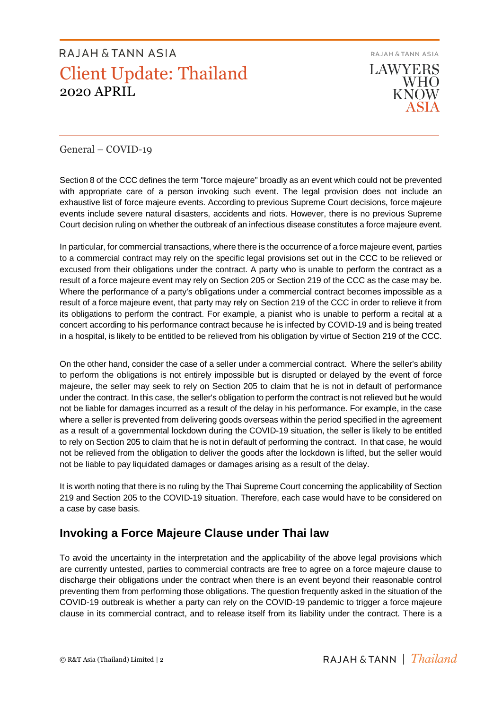RAJAH & TANN ASIA **LAWYERS WHO KNOW** 

### General – COVID-19

Section 8 of the CCC defines the term "force majeure" broadly as an event which could not be prevented with appropriate care of a person invoking such event. The legal provision does not include an exhaustive list of force majeure events. According to previous Supreme Court decisions, force majeure events include severe natural disasters, accidents and riots. However, there is no previous Supreme Court decision ruling on whether the outbreak of an infectious disease constitutes a force majeure event.

In particular, for commercial transactions, where there is the occurrence of a force majeure event, parties to a commercial contract may rely on the specific legal provisions set out in the CCC to be relieved or excused from their obligations under the contract. A party who is unable to perform the contract as a result of a force majeure event may rely on Section 205 or Section 219 of the CCC as the case may be. Where the performance of a party's obligations under a commercial contract becomes impossible as a result of a force majeure event, that party may rely on Section 219 of the CCC in order to relieve it from its obligations to perform the contract. For example, a pianist who is unable to perform a recital at a concert according to his performance contract because he is infected by COVID-19 and is being treated in a hospital, is likely to be entitled to be relieved from his obligation by virtue of Section 219 of the CCC.

On the other hand, consider the case of a seller under a commercial contract. Where the seller's ability to perform the obligations is not entirely impossible but is disrupted or delayed by the event of force majeure, the seller may seek to rely on Section 205 to claim that he is not in default of performance under the contract. In this case, the seller's obligation to perform the contract is not relieved but he would not be liable for damages incurred as a result of the delay in his performance. For example, in the case where a seller is prevented from delivering goods overseas within the period specified in the agreement as a result of a governmental lockdown during the COVID-19 situation, the seller is likely to be entitled to rely on Section 205 to claim that he is not in default of performing the contract. In that case, he would not be relieved from the obligation to deliver the goods after the lockdown is lifted, but the seller would not be liable to pay liquidated damages or damages arising as a result of the delay.

It is worth noting that there is no ruling by the Thai Supreme Court concerning the applicability of Section 219 and Section 205 to the COVID-19 situation. Therefore, each case would have to be considered on a case by case basis.

## **Invoking a Force Majeure Clause under Thai law**

To avoid the uncertainty in the interpretation and the applicability of the above legal provisions which are currently untested, parties to commercial contracts are free to agree on a force majeure clause to discharge their obligations under the contract when there is an event beyond their reasonable control preventing them from performing those obligations. The question frequently asked in the situation of the COVID-19 outbreak is whether a party can rely on the COVID-19 pandemic to trigger a force majeure clause in its commercial contract, and to release itself from its liability under the contract. There is a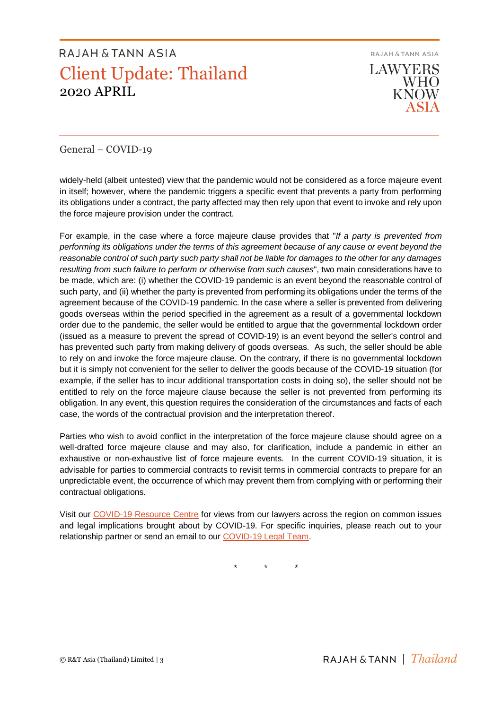RAJAH & TANN ASIA **LAWYERS** WHO **KNOW** 

### General – COVID-19

widely-held (albeit untested) view that the pandemic would not be considered as a force majeure event in itself; however, where the pandemic triggers a specific event that prevents a party from performing its obligations under a contract, the party affected may then rely upon that event to invoke and rely upon the force majeure provision under the contract.

For example, in the case where a force majeure clause provides that "*If a party is prevented from performing its obligations under the terms of this agreement because of any cause or event beyond the reasonable control of such party such party shall not be liable for damages to the other for any damages resulting from such failure to perform or otherwise from such causes*", two main considerations have to be made, which are: (i) whether the COVID-19 pandemic is an event beyond the reasonable control of such party, and (ii) whether the party is prevented from performing its obligations under the terms of the agreement because of the COVID-19 pandemic. In the case where a seller is prevented from delivering goods overseas within the period specified in the agreement as a result of a governmental lockdown order due to the pandemic, the seller would be entitled to argue that the governmental lockdown order (issued as a measure to prevent the spread of COVID-19) is an event beyond the seller's control and has prevented such party from making delivery of goods overseas. As such, the seller should be able to rely on and invoke the force majeure clause. On the contrary, if there is no governmental lockdown but it is simply not convenient for the seller to deliver the goods because of the COVID-19 situation (for example, if the seller has to incur additional transportation costs in doing so), the seller should not be entitled to rely on the force majeure clause because the seller is not prevented from performing its obligation. In any event, this question requires the consideration of the circumstances and facts of each case, the words of the contractual provision and the interpretation thereof.

Parties who wish to avoid conflict in the interpretation of the force majeure clause should agree on a well-drafted force majeure clause and may also, for clarification, include a pandemic in either an exhaustive or non-exhaustive list of force majeure events. In the current COVID-19 situation, it is advisable for parties to commercial contracts to revisit terms in commercial contracts to prepare for an unpredictable event, the occurrence of which may prevent them from complying with or performing their contractual obligations.

Visit our [COVID-19 Resource Centre](https://www.rajahtannasia.com/resource-centre/covid-19) for views from our lawyers across the region on common issues and legal implications brought about by COVID-19. For specific inquiries, please reach out to your relationship partner or send an email to our [COVID-19 Legal Team.](mailto:covid-19legalteam@rajahtann.com)

\* \* \*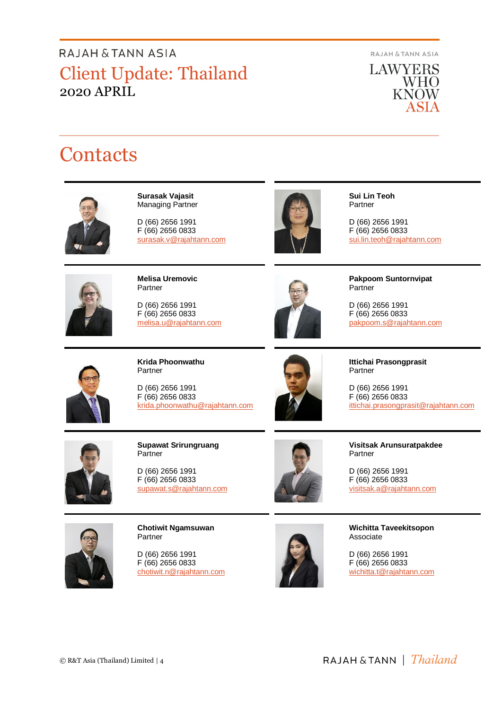**RAJAH & TANN ASIA** 



# **Contacts**



**Surasak Vajasit** Managing Partner

D (66) 2656 1991 F (66) 2656 0833 surasak.v@rajahtann.com



**Sui Lin Teoh** Partner

D (66) 2656 1991 F (66) 2656 0833 [sui.lin.teoh@rajahtann.com](mailto:sui.lin.teoh@rajahtann.com)



**Melisa Uremovic** Partner

D (66) 2656 1991 F (66) 2656 0833 melisa.u@rajahtann.com



**Pakpoom Suntornvipat** Partner

D (66) 2656 1991 F (66) 2656 0833 pakpoom.s@rajahtann.com



**Krida Phoonwathu** Partner

D (66) 2656 1991 F (66) 2656 0833 [krida.phoonwathu@rajahtann.com](mailto:krida.phoonwathu@rajahtann.com)



**Ittichai Prasongprasit** Partner

D (66) 2656 1991 F (66) 2656 0833 ittichai.prasongprasit@rajahtann.com



**Supawat Srirungruang** Partner

D (66) 2656 1991 F (66) 2656 0833 [supawat.s@rajahtann.com](mailto:supawat.s@rajahtann.com)

**Visitsak Arunsuratpakdee** Partner

D (66) 2656 1991 F (66) 2656 0833 [visitsak.a@rajahtann.com](mailto:visitsak.a@rajahtann.com)



**Chotiwit Ngamsuwan** Partner

D (66) 2656 1991 F (66) 2656 0833 chotiwit.n@rajahtann.com



**Wichitta Taveekitsopon** Associate

D (66) 2656 1991 F (66) 2656 0833 wichitta.t@rajahtann.com

RAJAH & TANN | *Thailand*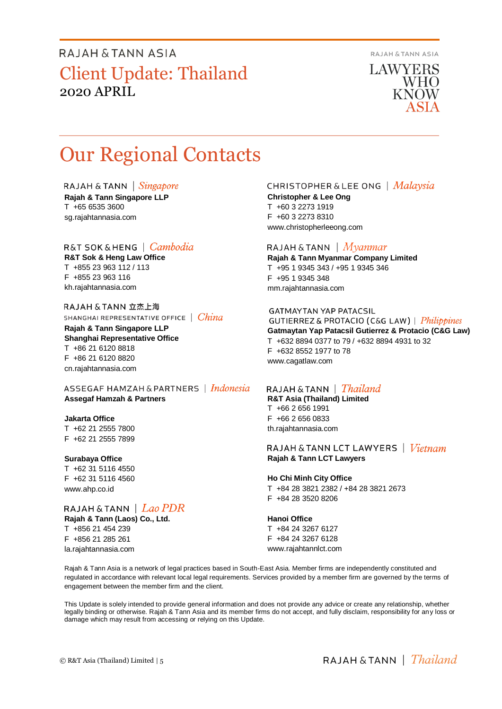RAJAH & TANN ASIA

**LAWYERS WHO KNOW** 

# Our Regional Contacts

RAJAH & TANN  $\int$  *Singapore* 

**Rajah & Tann Singapore LLP** T +65 6535 3600 sg.rajahtannasia.com

#### R&T SOK&HENG | Cambodia

**R&T Sok & Heng Law Office** T +855 23 963 112 / 113 F +855 23 963 116 kh.rajahtannasia.com

RAJAH & TANN 立杰上海 SHANGHAI REPRESENTATIVE OFFICE | China

**Rajah & Tann Singapore LLP Shanghai Representative Office** T +86 21 6120 8818 F +86 21 6120 8820 cn.rajahtannasia.com

ASSEGAF HAMZAH & PARTNERS | Indonesia **Assegaf Hamzah & Partners**

#### **Jakarta Office**

T +62 21 2555 7800 F +62 21 2555 7899

#### **Surabaya Office**

T +62 31 5116 4550 F +62 31 5116 4560 www.ahp.co.id

### RAJAH & TANN  $|$   $Lao$   $PDR$

**Rajah & Tann (Laos) Co., Ltd.** T +856 21 454 239 F +856 21 285 261 la.rajahtannasia.com

#### **CHRISTOPHER & LEE ONG** | Malaysia

**Christopher & Lee Ong** T +60 3 2273 1919 F +60 3 2273 8310 www.christopherleeong.com

#### RAJAH & TANN  $\mid$  *Myanmar*

**Rajah & Tann Myanmar Company Limited** T +95 1 9345 343 / +95 1 9345 346 F +95 1 9345 348 mm.rajahtannasia.com

#### **GATMAYTAN YAP PATACSIL**

**GUTIERREZ & PROTACIO (C&G LAW)** | *Philippines* **Gatmaytan Yap Patacsil Gutierrez & Protacio (C&G Law)**  T +632 8894 0377 to 79 / +632 8894 4931 to 32 F +632 8552 1977 to 78 www.cagatlaw.com

#### RAJAH & TANN | *Thailand*

**R&T Asia (Thailand) Limited** T +66 2 656 1991 F +66 2 656 0833 th.rajahtannasia.com

#### RAJAH & TANN LCT LAWYERS | *Vietnam* **Rajah & Tann LCT Lawyers**

#### **Ho Chi Minh City Office**

T +84 28 3821 2382 / +84 28 3821 2673 F +84 28 3520 8206

#### **Hanoi Office**

T +84 24 3267 6127 F +84 24 3267 6128 www.rajahtannlct.com

Rajah & Tann Asia is a network of legal practices based in South-East Asia. Member firms are independently constituted and regulated in accordance with relevant local legal requirements. Services provided by a member firm are governed by the terms of engagement between the member firm and the client.

This Update is solely intended to provide general information and does not provide any advice or create any relationship, whether legally binding or otherwise. Rajah & Tann Asia and its member firms do not accept, and fully disclaim, responsibility for any loss or damage which may result from accessing or relying on this Update.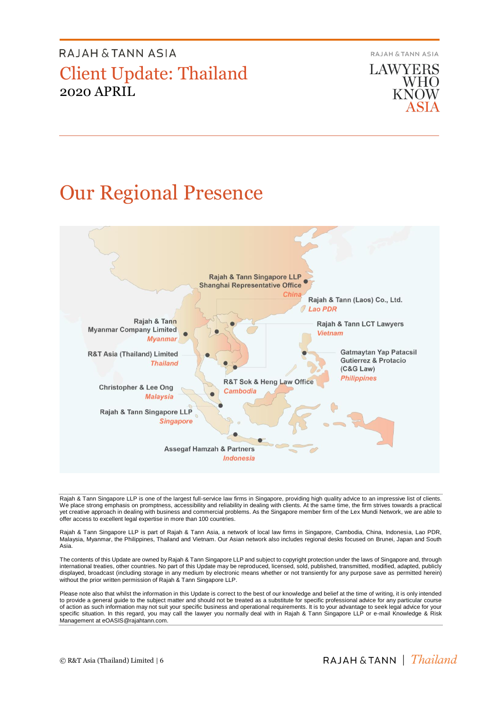RAJAH & TANN ASIA

**LAWYERS WHO**<br>KNOW

# Our Regional Presence



Rajah & Tann Singapore LLP is one of the largest full-service law firms in Singapore, providing high quality advice to an impressive list of clients. We place strong emphasis on promptness, accessibility and reliability in dealing with clients. At the same time, the firm strives towards a practical yet creative approach in dealing with business and commercial problems. As the Singapore member firm of the Lex Mundi Network, we are able to offer access to excellent legal expertise in more than 100 countries.

Rajah & Tann Singapore LLP is part of Rajah & Tann Asia, a network of local law firms in Singapore, Cambodia, China, Indonesia, Lao PDR, Malaysia, Myanmar, the Philippines, Thailand and Vietnam. Our Asian network also includes regional desks focused on Brunei, Japan and South Asia.

The contents of this Update are owned by Rajah & Tann Singapore LLP and subject to copyright protection under the laws of Singapore and, through international treaties, other countries. No part of this Update may be reproduced, licensed, sold, published, transmitted, modified, adapted, publicly displayed, broadcast (including storage in any medium by electronic means whether or not transiently for any purpose save as permitted herein) without the prior written permission of Rajah & Tann Singapore LLP.

Please note also that whilst the information in this Update is correct to the best of our knowledge and belief at the time of writing, it is only intended to provide a general guide to the subject matter and should not be treated as a substitute for specific professional advice for any particular course of action as such information may not suit your specific business and operational requirements. It is to your advantage to seek legal advice for your<br>specific situation. In this regard, you may call the lawyer you normally Management at eOASIS@rajahtann.com.